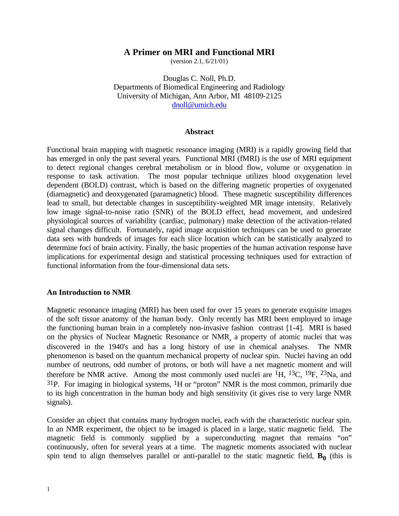# **A Primer on MRI and Functional MRI**

(version 2.1, 6/21/01)

Douglas C. Noll, Ph.D. Departments of Biomedical Engineering and Radiology University of Michigan, Ann Arbor, MI 48109-2125 dnoll@umich.edu

#### **Abstract**

Functional brain mapping with magnetic resonance imaging (MRI) is a rapidly growing field that has emerged in only the past several years. Functional MRI (fMRI) is the use of MRI equipment to detect regional changes cerebral metabolism or in blood flow, volume or oxygenation in response to task activation. The most popular technique utilizes blood oxygenation level dependent (BOLD) contrast, which is based on the differing magnetic properties of oxygenated (diamagnetic) and deoxygenated (paramagnetic) blood. These magnetic susceptibility differences lead to small, but detectable changes in susceptibility-weighted MR image intensity. Relatively low image signal-to-noise ratio (SNR) of the BOLD effect, head movement, and undesired physiological sources of variability (cardiac, pulmonary) make detection of the activation-related signal changes difficult. Fortunately, rapid image acquisition techniques can be used to generate data sets with hundreds of images for each slice location which can be statistically analyzed to determine foci of brain activity. Finally, the basic properties of the human activation response have implications for experimental design and statistical processing techniques used for extraction of functional information from the four-dimensional data sets.

#### **An Introduction to NMR**

Magnetic resonance imaging (MRI) has been used for over 15 years to generate exquisite images of the soft tissue anatomy of the human body. Only recently has MRI been employed to image the functioning human brain in a completely non-invasive fashion contrast [1-4]. MRI is based on the physics of Nuclear Magnetic Resonance or NMR, a property of atomic nuclei that was discovered in the 1940's and has a long history of use in chemical analyses. The NMR phenomenon is based on the quantum mechanical property of nuclear spin. Nuclei having an odd number of neutrons, odd number of protons, or both will have a net magnetic moment and will therefore be NMR active. Among the most commonly used nuclei are  ${}^{1}H$ ,  ${}^{13}C$ ,  ${}^{19}F$ ,  ${}^{23}Na$ , and  $31P$ . For imaging in biological systems, <sup>1</sup>H or "proton" NMR is the most common, primarily due to its high concentration in the human body and high sensitivity (it gives rise to very large NMR signals).

Consider an object that contains many hydrogen nuclei, each with the characteristic nuclear spin. In an NMR experiment, the object to be imaged is placed in a large, static magnetic field. The magnetic field is commonly supplied by a superconducting magnet that remains "on" continuously, often for several years at a time. The magnetic moments associated with nuclear spin tend to align themselves parallel or anti-parallel to the static magnetic field,  $\mathbf{B_0}$  (this is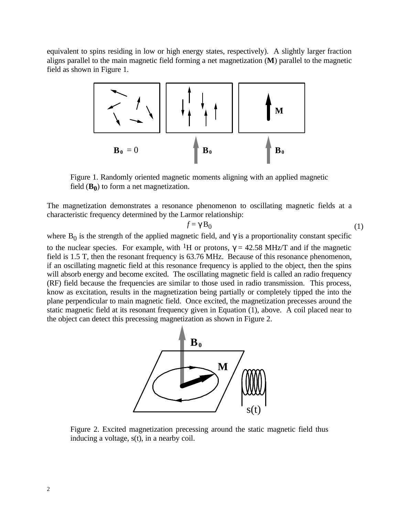equivalent to spins residing in low or high energy states, respectively). A slightly larger fraction aligns parallel to the main magnetic field forming a net magnetization (**M**) parallel to the magnetic field as shown in Figure 1.



Figure 1. Randomly oriented magnetic moments aligning with an applied magnetic field (**B<sup>0</sup>** ) to form a net magnetization.

The magnetization demonstrates a resonance phenomenon to oscillating magnetic fields at a characteristic frequency determined by the Larmor relationship:

$$
f = \gamma \mathbf{B}_0 \tag{1}
$$

where  $B_0$  is the strength of the applied magnetic field, and  $\gamma$  is a proportionality constant specific to the nuclear species. For example, with <sup>1</sup>H or protons,  $\gamma = 42.58 \text{ MHz/T}$  and if the magnetic field is 1.5 T, then the resonant frequency is 63.76 MHz. Because of this resonance phenomenon, if an oscillating magnetic field at this resonance frequency is applied to the object, then the spins will absorb energy and become excited. The oscillating magnetic field is called an radio frequency (RF) field because the frequencies are similar to those used in radio transmission. This process, know as excitation, results in the magnetization being partially or completely tipped the into the plane perpendicular to main magnetic field. Once excited, the magnetization precesses around the static magnetic field at its resonant frequency given in Equation (1), above. A coil placed near to the object can detect this precessing magnetization as shown in Figure 2.



Figure 2. Excited magnetization precessing around the static magnetic field thus inducing a voltage, s(t), in a nearby coil.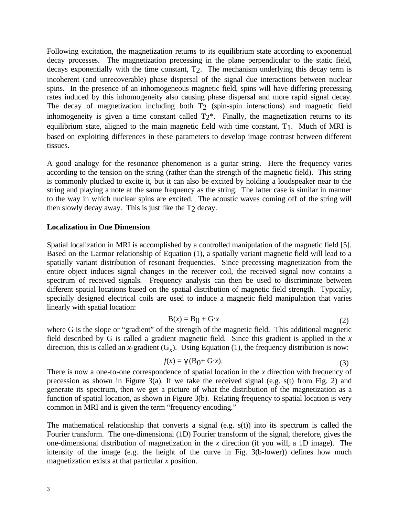Following excitation, the magnetization returns to its equilibrium state according to exponential decay processes. The magnetization precessing in the plane perpendicular to the static field, decays exponentially with the time constant, T<sub>2</sub>. The mechanism underlying this decay term is incoherent (and unrecoverable) phase dispersal of the signal due interactions between nuclear spins. In the presence of an inhomogeneous magnetic field, spins will have differing precessing rates induced by this inhomogeneity also causing phase dispersal and more rapid signal decay. The decay of magnetization including both T<sub>2</sub> (spin-spin interactions) and magnetic field inhomogeneity is given a time constant called  $T_2^*$ . Finally, the magnetization returns to its equilibrium state, aligned to the main magnetic field with time constant, T1. Much of MRI is based on exploiting differences in these parameters to develop image contrast between different tissues.

A good analogy for the resonance phenomenon is a guitar string. Here the frequency varies according to the tension on the string (rather than the strength of the magnetic field). This string is commonly plucked to excite it, but it can also be excited by holding a loudspeaker near to the string and playing a note at the same frequency as the string. The latter case is similar in manner to the way in which nuclear spins are excited. The acoustic waves coming off of the string will then slowly decay away. This is just like the  $T<sub>2</sub>$  decay.

# **Localization in One Dimension**

Spatial localization in MRI is accomplished by a controlled manipulation of the magnetic field [5]. Based on the Larmor relationship of Equation (1), a spatially variant magnetic field will lead to a spatially variant distribution of resonant frequencies. Since precessing magnetization from the entire object induces signal changes in the receiver coil, the received signal now contains a spectrum of received signals. Frequency analysis can then be used to discriminate between different spatial locations based on the spatial distribution of magnetic field strength. Typically, specially designed electrical coils are used to induce a magnetic field manipulation that varies linearly with spatial location:

$$
B(x) = B_0 + G \cdot x \tag{2}
$$

where G is the slope or "gradient" of the strength of the magnetic field. This additional magnetic field described by G is called a gradient magnetic field. Since this gradient is applied in the *x* direction, this is called an *x*-gradient  $(G_x)$ . Using Equation (1), the frequency distribution is now:

$$
f(x) = \gamma (\mathbf{B}_0 + \mathbf{G} \cdot x). \tag{3}
$$

There is now a one-to-one correspondence of spatial location in the *x* direction with frequency of precession as shown in Figure 3(a). If we take the received signal (e.g.  $s(t)$  from Fig. 2) and generate its spectrum, then we get a picture of what the distribution of the magnetization as a function of spatial location, as shown in Figure 3(b). Relating frequency to spatial location is very common in MRI and is given the term "frequency encoding."

The mathematical relationship that converts a signal (e.g. s(t)) into its spectrum is called the Fourier transform. The one-dimensional (1D) Fourier transform of the signal, therefore, gives the one-dimensional distribution of magnetization in the *x* direction (if you will, a 1D image). The intensity of the image (e.g. the height of the curve in Fig. 3(b-lower)) defines how much magnetization exists at that particular *x* position.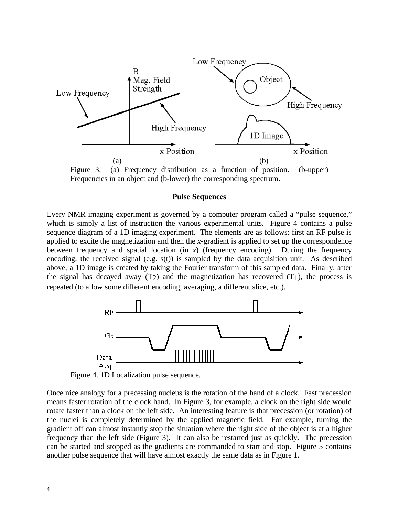

Figure 3. (a) Frequency distribution as a function of position. (b-upper) Frequencies in an object and (b-lower) the corresponding spectrum.

#### **Pulse Sequences**

Every NMR imaging experiment is governed by a computer program called a "pulse sequence," which is simply a list of instruction the various experimental units. Figure 4 contains a pulse sequence diagram of a 1D imaging experiment. The elements are as follows: first an RF pulse is applied to excite the magnetization and then the *x*-gradient is applied to set up the correspondence between frequency and spatial location (in *x*) (frequency encoding). During the frequency encoding, the received signal (e.g. s(t)) is sampled by the data acquisition unit. As described above, a 1D image is created by taking the Fourier transform of this sampled data. Finally, after the signal has decayed away  $(T_2)$  and the magnetization has recovered  $(T_1)$ , the process is repeated (to allow some different encoding, averaging, a different slice, etc.).



Once nice analogy for a precessing nucleus is the rotation of the hand of a clock. Fast precession means faster rotation of the clock hand. In Figure 3, for example, a clock on the right side would rotate faster than a clock on the left side. An interesting feature is that precession (or rotation) of the nuclei is completely determined by the applied magnetic field. For example, turning the gradient off can almost instantly stop the situation where the right side of the object is at a higher frequency than the left side (Figure 3). It can also be restarted just as quickly. The precession can be started and stopped as the gradients are commanded to start and stop. Figure 5 contains another pulse sequence that will have almost exactly the same data as in Figure 1.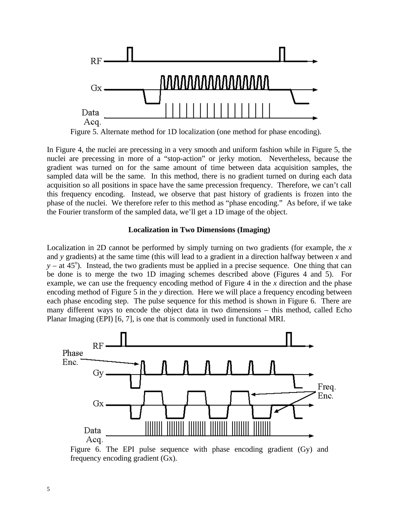

In Figure 4, the nuclei are precessing in a very smooth and uniform fashion while in Figure 5, the nuclei are precessing in more of a "stop-action" or jerky motion. Nevertheless, because the gradient was turned on for the same amount of time between data acquisition samples, the sampled data will be the same. In this method, there is no gradient turned on during each data acquisition so all positions in space have the same precession frequency. Therefore, we can't call this frequency encoding. Instead, we observe that past history of gradients is frozen into the phase of the nuclei. We therefore refer to this method as "phase encoding." As before, if we take the Fourier transform of the sampled data, we'll get a 1D image of the object.

#### **Localization in Two Dimensions (Imaging)**

Localization in 2D cannot be performed by simply turning on two gradients (for example, the *x* and *y* gradients) at the same time (this will lead to a gradient in a direction halfway between *x* and  $y - at 45^\circ$ ). Instead, the two gradients must be applied in a precise sequence. One thing that can be done is to merge the two 1D imaging schemes described above (Figures 4 and 5). For example, we can use the frequency encoding method of Figure 4 in the *x* direction and the phase encoding method of Figure 5 in the *y* direction. Here we will place a frequency encoding between each phase encoding step. The pulse sequence for this method is shown in Figure 6. There are many different ways to encode the object data in two dimensions – this method, called Echo Planar Imaging (EPI) [6, 7], is one that is commonly used in functional MRI.



Figure 6. The EPI pulse sequence with phase encoding gradient (Gy) and frequency encoding gradient (Gx).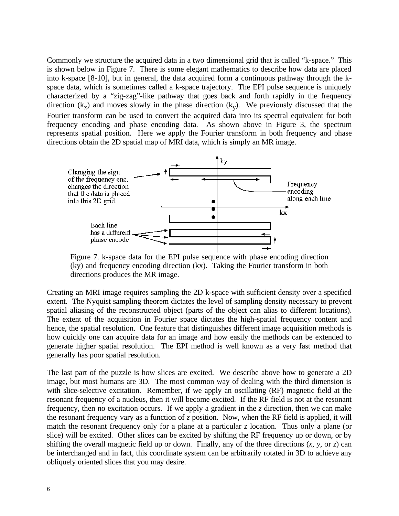Commonly we structure the acquired data in a two dimensional grid that is called "k-space." This is shown below in Figure 7. There is some elegant mathematics to describe how data are placed into k-space [8-10], but in general, the data acquired form a continuous pathway through the kspace data, which is sometimes called a k-space trajectory. The EPI pulse sequence is uniquely characterized by a "zig-zag"-like pathway that goes back and forth rapidly in the frequency direction  $(k_x)$  and moves slowly in the phase direction  $(k_y)$ . We previously discussed that the Fourier transform can be used to convert the acquired data into its spectral equivalent for both frequency encoding and phase encoding data. As shown above in Figure 3, the spectrum represents spatial position. Here we apply the Fourier transform in both frequency and phase directions obtain the 2D spatial map of MRI data, which is simply an MR image.



Figure 7. k-space data for the EPI pulse sequence with phase encoding direction (ky) and frequency encoding direction (kx). Taking the Fourier transform in both directions produces the MR image.

Creating an MRI image requires sampling the 2D k-space with sufficient density over a specified extent. The Nyquist sampling theorem dictates the level of sampling density necessary to prevent spatial aliasing of the reconstructed object (parts of the object can alias to different locations). The extent of the acquisition in Fourier space dictates the high-spatial frequency content and hence, the spatial resolution. One feature that distinguishes different image acquisition methods is how quickly one can acquire data for an image and how easily the methods can be extended to generate higher spatial resolution. The EPI method is well known as a very fast method that generally has poor spatial resolution.

The last part of the puzzle is how slices are excited. We describe above how to generate a 2D image, but most humans are 3D. The most common way of dealing with the third dimension is with slice-selective excitation. Remember, if we apply an oscillating (RF) magnetic field at the resonant frequency of a nucleus, then it will become excited. If the RF field is not at the resonant frequency, then no excitation occurs. If we apply a gradient in the *z* direction, then we can make the resonant frequency vary as a function of *z* position. Now, when the RF field is applied, it will match the resonant frequency only for a plane at a particular  $\zeta$  location. Thus only a plane (or slice) will be excited. Other slices can be excited by shifting the RF frequency up or down, or by shifting the overall magnetic field up or down. Finally, any of the three directions  $(x, y, \text{ or } z)$  can be interchanged and in fact, this coordinate system can be arbitrarily rotated in 3D to achieve any obliquely oriented slices that you may desire.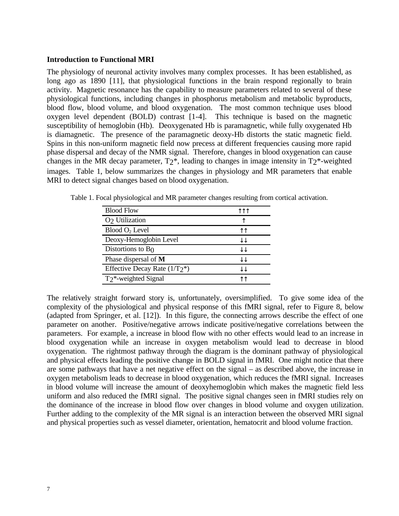# **Introduction to Functional MRI**

The physiology of neuronal activity involves many complex processes. It has been established, as long ago as 1890 [11], that physiological functions in the brain respond regionally to brain activity. Magnetic resonance has the capability to measure parameters related to several of these physiological functions, including changes in phosphorus metabolism and metabolic byproducts, blood flow, blood volume, and blood oxygenation. The most common technique uses blood oxygen level dependent (BOLD) contrast [1-4]. This technique is based on the magnetic susceptibility of hemoglobin (Hb). Deoxygenated Hb is paramagnetic, while fully oxygenated Hb is diamagnetic. The presence of the paramagnetic deoxy-Hb distorts the static magnetic field. Spins in this non-uniform magnetic field now precess at different frequencies causing more rapid phase dispersal and decay of the NMR signal. Therefore, changes in blood oxygenation can cause changes in the MR decay parameter,  $T_2^*$ , leading to changes in image intensity in  $T_2^*$ -weighted images. Table 1, below summarizes the changes in physiology and MR parameters that enable MRI to detect signal changes based on blood oxygenation.

| <b>Blood Flow</b>               |      |
|---------------------------------|------|
| O <sub>2</sub> Utilization      |      |
| Blood $O2$ Level                |      |
| Deoxy-Hemoglobin Level          |      |
| Distortions to $B0$             | الحل |
| Phase dispersal of M            |      |
| Effective Decay Rate $(1/T2^*)$ |      |
| $T2^*$ -weighted Signal         |      |

Table 1. Focal physiological and MR parameter changes resulting from cortical activation.

The relatively straight forward story is, unfortunately, oversimplified. To give some idea of the complexity of the physiological and physical response of this fMRI signal, refer to Figure 8, below (adapted from Springer, et al. [12]). In this figure, the connecting arrows describe the effect of one parameter on another. Positive/negative arrows indicate positive/negative correlations between the parameters. For example, a increase in blood flow with no other effects would lead to an increase in blood oxygenation while an increase in oxygen metabolism would lead to decrease in blood oxygenation. The rightmost pathway through the diagram is the dominant pathway of physiological and physical effects leading the positive change in BOLD signal in fMRI. One might notice that there are some pathways that have a net negative effect on the signal – as described above, the increase in oxygen metabolism leads to decrease in blood oxygenation, which reduces the fMRI signal. Increases in blood volume will increase the amount of deoxyhemoglobin which makes the magnetic field less uniform and also reduced the fMRI signal. The positive signal changes seen in fMRI studies rely on the dominance of the increase in blood flow over changes in blood volume and oxygen utilization. Further adding to the complexity of the MR signal is an interaction between the observed MRI signal and physical properties such as vessel diameter, orientation, hematocrit and blood volume fraction.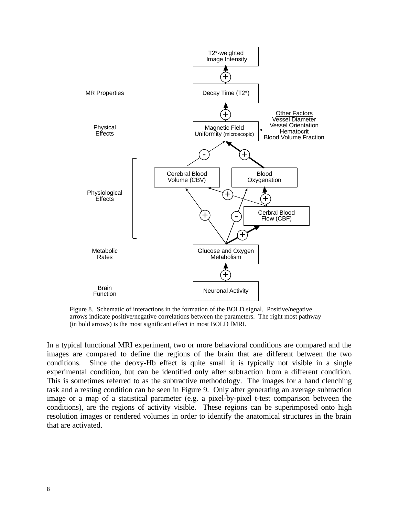

Figure 8. Schematic of interactions in the formation of the BOLD signal. Positive/negative arrows indicate positive/negative correlations between the parameters. The right most pathway (in bold arrows) is the most significant effect in most BOLD fMRI.

In a typical functional MRI experiment, two or more behavioral conditions are compared and the images are compared to define the regions of the brain that are different between the two conditions. Since the deoxy-Hb effect is quite small it is typically not visible in a single experimental condition, but can be identified only after subtraction from a different condition. This is sometimes referred to as the subtractive methodology. The images for a hand clenching task and a resting condition can be seen in Figure 9. Only after generating an average subtraction image or a map of a statistical parameter (e.g. a pixel-by-pixel t-test comparison between the conditions), are the regions of activity visible. These regions can be superimposed onto high resolution images or rendered volumes in order to identify the anatomical structures in the brain that are activated.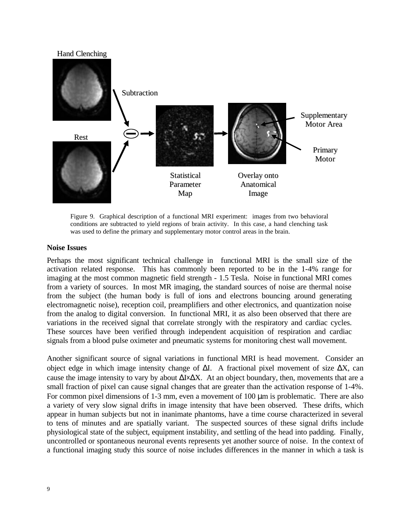

Figure 9. Graphical description of a functional MRI experiment: images from two behavioral conditions are subtracted to yield regions of brain activity. In this case, a hand clenching task was used to define the primary and supplementary motor control areas in the brain.

#### **Noise Issues**

Perhaps the most significant technical challenge in functional MRI is the small size of the activation related response. This has commonly been reported to be in the 1-4% range for imaging at the most common magnetic field strength - 1.5 Tesla. Noise in functional MRI comes from a variety of sources. In most MR imaging, the standard sources of noise are thermal noise from the subject (the human body is full of ions and electrons bouncing around generating electromagnetic noise), reception coil, preamplifiers and other electronics, and quantization noise from the analog to digital conversion. In functional MRI, it as also been observed that there are variations in the received signal that correlate strongly with the respiratory and cardiac cycles. These sources have been verified through independent acquisition of respiration and cardiac signals from a blood pulse oximeter and pneumatic systems for monitoring chest wall movement.

Another significant source of signal variations in functional MRI is head movement. Consider an object edge in which image intensity change of  $ΔI$ . A fractional pixel movement of size  $ΔX$ , can cause the image intensity to vary by about  $\Delta I \times \Delta X$ . At an object boundary, then, movements that are a small fraction of pixel can cause signal changes that are greater than the activation response of 1-4%. For common pixel dimensions of 1-3 mm, even a movement of 100 μm is problematic. There are also a variety of very slow signal drifts in image intensity that have been observed. These drifts, which appear in human subjects but not in inanimate phantoms, have a time course characterized in several to tens of minutes and are spatially variant. The suspected sources of these signal drifts include physiological state of the subject, equipment instability, and settling of the head into padding. Finally, uncontrolled or spontaneous neuronal events represents yet another source of noise. In the context of a functional imaging study this source of noise includes differences in the manner in which a task is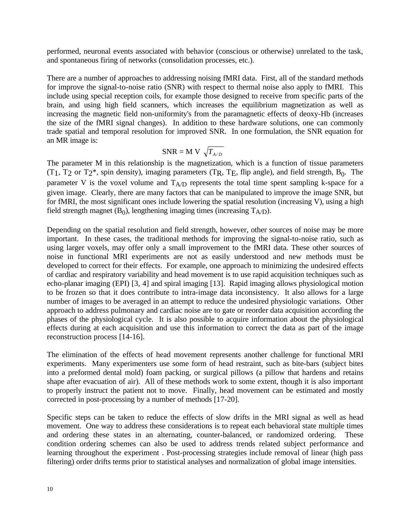performed, neuronal events associated with behavior (conscious or otherwise) unrelated to the task, and spontaneous firing of networks (consolidation processes, etc.).

There are a number of approaches to addressing noising fMRI data. First, all of the standard methods for improve the signal-to-noise ratio (SNR) with respect to thermal noise also apply to fMRI. This include using special reception coils, for example those designed to receive from specific parts of the brain, and using high field scanners, which increases the equilibrium magnetization as well as increasing the magnetic field non-uniformity's from the paramagnetic effects of deoxy-Hb (increases the size of the fMRI signal changes). In addition to these hardware solutions, one can commonly trade spatial and temporal resolution for improved SNR. In one formulation, the SNR equation for an MR image is:

$$
SNR = M V \sqrt{T_{A/D}}
$$

The parameter M in this relationship is the magnetization, which is a function of tissue parameters  $(T_1, T_2 \text{ or } T_2^*$ , spin density), imaging parameters  $(T_R, T_E, flip$  angle), and field strength,  $B_0$ . The parameter V is the voxel volume and  $T_{AD}$  represents the total time spent sampling k-space for a given image. Clearly, there are many factors that can be manipulated to improve the image SNR, but for fMRI, the most significant ones include lowering the spatial resolution (increasing V), using a high field strength magnet  $(B_0)$ , lengthening imaging times (increasing  $T_{A/D}$ ).

Depending on the spatial resolution and field strength, however, other sources of noise may be more important. In these cases, the traditional methods for improving the signal-to-noise ratio, such as using larger voxels, may offer only a small improvement to the fMRI data. These other sources of noise in functional MRI experiments are not as easily understood and new methods must be developed to correct for their effects. For example, one approach to minimizing the undesired effects of cardiac and respiratory variability and head movement is to use rapid acquisition techniques such as echo-planar imaging (EPI) [3, 4] and spiral imaging [13]. Rapid imaging allows physiological motion to be frozen so that it does contribute to intra-image data inconsistency. It also allows for a large number of images to be averaged in an attempt to reduce the undesired physiologic variations. Other approach to address pulmonary and cardiac noise are to gate or reorder data acquisition according the phases of the physiological cycle. It is also possible to acquire information about the physiological effects during at each acquisition and use this information to correct the data as part of the image reconstruction process [14-16].

The elimination of the effects of head movement represents another challenge for functional MRI experiments. Many experimenters use some form of head restraint, such as bite-bars (subject bites into a preformed dental mold) foam packing, or surgical pillows (a pillow that hardens and retains shape after evacuation of air). All of these methods work to some extent, though it is also important to properly instruct the patient not to move. Finally, head movement can be estimated and mostly corrected in post-processing by a number of methods [17-20].

Specific steps can be taken to reduce the effects of slow drifts in the MRI signal as well as head movement. One way to address these considerations is to repeat each behavioral state multiple times and ordering these states in an alternating, counter-balanced, or randomized ordering. These condition ordering schemes can also be used to address trends related subject performance and learning throughout the experiment . Post-processing strategies include removal of linear (high pass filtering) order drifts terms prior to statistical analyses and normalization of global image intensities.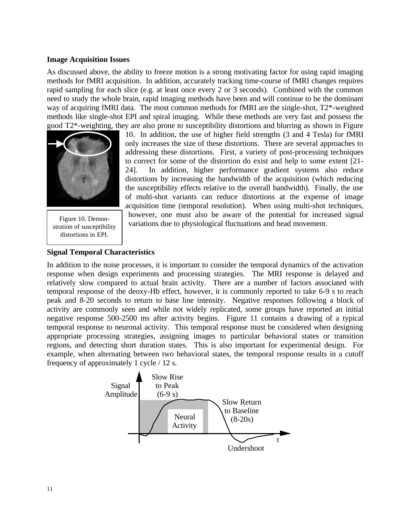# **Image Acquisition Issues**

As discussed above, the ability to freeze motion is a strong motivating factor for using rapid imaging methods for fMRI acquisition. In addition, accurately tracking time-course of fMRI changes requires rapid sampling for each slice (e.g. at least once every 2 or 3 seconds). Combined with the common need to study the whole brain, rapid imaging methods have been and will continue to be the dominant way of acquiring fMRI data. The most common methods for fMRI are the single-shot, T2\*-weighted methods like single-shot EPI and spiral imaging. While these methods are very fast and possess the good T2\*-weighting, they are also prone to susceptibility distortions and blurring as shown in Figure



Figure 10. Demonstration of susceptibility distortions in EPI.

10. In addition, the use of higher field strengths (3 and 4 Tesla) for fMRI only increases the size of these distortions. There are several approaches to addressing these distortions. First, a variety of post-processing techniques to correct for some of the distortion do exist and help to some extent [21- 24]. In addition, higher performance gradient systems also reduce distortions by increasing the bandwidth of the acquisition (which reducing the susceptibility effects relative to the overall bandwidth). Finally, the use of multi-shot variants can reduce distortions at the expense of image acquisition time (temporal resolution). When using multi-shot techniques, however, one must also be aware of the potential for increased signal variations due to physiological fluctuations and head movement.

# **Signal Temporal Characteristics**

In addition to the noise processes, it is important to consider the temporal dynamics of the activation response when design experiments and processing strategies. The MRI response is delayed and relatively slow compared to actual brain activity. There are a number of factors associated with temporal response of the deoxy-Hb effect, however, it is commonly reported to take 6-9 s to reach peak and 8-20 seconds to return to base line intensity. Negative responses following a block of activity are commonly seen and while not widely replicated, some groups have reported an initial negative response 500-2500 ms after activity begins. Figure 11 contains a drawing of a typical temporal response to neuronal activity. This temporal response must be considered when designing appropriate processing strategies, assigning images to particular behavioral states or transition regions, and detecting short duration states. This is also important for experimental design. For example, when alternating between two behavioral states, the temporal response results in a cutoff frequency of approximately 1 cycle / 12 s.

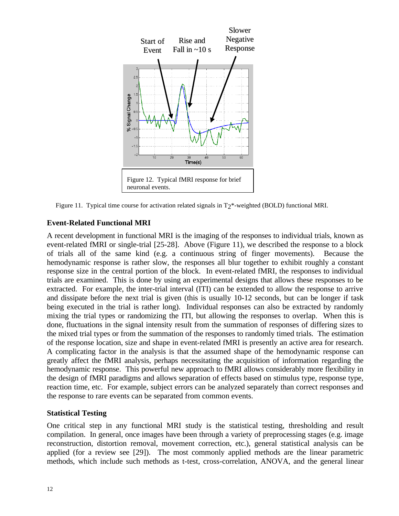

Figure 11. Typical time course for activation related signals in  $T_2^*$ -weighted (BOLD) functional MRI.

# **Event-Related Functional MRI**

A recent development in functional MRI is the imaging of the responses to individual trials, known as event-related fMRI or single-trial [25-28]. Above (Figure 11), we described the response to a block of trials all of the same kind (e.g. a continuous string of finger movements). Because the hemodynamic response is rather slow, the responses all blur together to exhibit roughly a constant response size in the central portion of the block. In event-related fMRI, the responses to individual trials are examined. This is done by using an experimental designs that allows these responses to be extracted. For example, the inter-trial interval (ITI) can be extended to allow the response to arrive and dissipate before the next trial is given (this is usually 10-12 seconds, but can be longer if task being executed in the trial is rather long). Individual responses can also be extracted by randomly mixing the trial types or randomizing the ITI, but allowing the responses to overlap. When this is done, fluctuations in the signal intensity result from the summation of responses of differing sizes to the mixed trial types or from the summation of the responses to randomly timed trials. The estimation of the response location, size and shape in event-related fMRI is presently an active area for research. A complicating factor in the analysis is that the assumed shape of the hemodynamic response can greatly affect the fMRI analysis, perhaps necessitating the acquisition of information regarding the hemodynamic response. This powerful new approach to fMRI allows considerably more flexibility in the design of fMRI paradigms and allows separation of effects based on stimulus type, response type, reaction time, etc. For example, subject errors can be analyzed separately than correct responses and the response to rare events can be separated from common events.

# **Statistical Testing**

One critical step in any functional MRI study is the statistical testing, thresholding and result compilation. In general, once images have been through a variety of preprocessing stages (e.g. image reconstruction, distortion removal, movement correction, etc.), general statistical analysis can be applied (for a review see [29]). The most commonly applied methods are the linear parametric methods, which include such methods as t-test, cross-correlation, ANOVA, and the general linear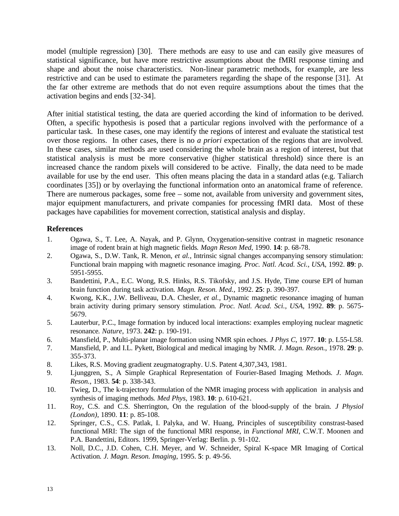model (multiple regression) [30]. There methods are easy to use and can easily give measures of statistical significance, but have more restrictive assumptions about the fMRI response timing and shape and about the noise characteristics. Non-linear parametric methods, for example, are less restrictive and can be used to estimate the parameters regarding the shape of the response [31]. At the far other extreme are methods that do not even require assumptions about the times that the activation begins and ends [32-34].

After initial statistical testing, the data are queried according the kind of information to be derived. Often, a specific hypothesis is posed that a particular regions involved with the performance of a particular task. In these cases, one may identify the regions of interest and evaluate the statistical test over those regions. In other cases, there is no *a priori* expectation of the regions that are involved. In these cases, similar methods are used considering the whole brain as a region of interest, but that statistical analysis is must be more conservative (higher statistical threshold) since there is an increased chance the random pixels will considered to be active. Finally, the data need to be made available for use by the end user. This often means placing the data in a standard atlas (e.g. Taliarch coordinates [35]) or by overlaying the functional information onto an anatomical frame of reference. There are numerous packages, some free – some not, available from university and government sites, major equipment manufacturers, and private companies for processing fMRI data. Most of these packages have capabilities for movement correction, statistical analysis and display.

# **References**

- 1. Ogawa, S., T. Lee, A. Nayak, and P. Glynn, Oxygenation-sensitive contrast in magnetic resonance image of rodent brain at high magnetic fields*. Magn Reson Med*, 1990. **14**: p. 68-78.
- 2. Ogawa, S., D.W. Tank, R. Menon, *et al.*, Intrinsic signal changes accompanying sensory stimulation: Functional brain mapping with magnetic resonance imaging*. Proc. Natl. Acad. Sci., USA*, 1992. **89**: p. 5951-5955.
- 3. Bandettini, P.A., E.C. Wong, R.S. Hinks, R.S. Tikofsky, and J.S. Hyde, Time course EPI of human brain function during task activation*. Magn. Reson. Med.*, 1992. **25**: p. 390-397.
- 4. Kwong, K.K., J.W. Belliveau, D.A. Chesler, *et al.*, Dynamic magnetic resonance imaging of human brain activity during primary sensory stimulation*. Proc. Natl. Acad. Sci., USA*, 1992. **89**: p. 5675- 5679.
- 5. Lauterbur, P.C., Image formation by induced local interactions: examples employing nuclear magnetic resonance*. Nature*, 1973. **242**: p. 190-191.
- 6. Mansfield, P., Multi-planar image formation using NMR spin echoes*. J Phys C*, 1977. **10**: p. L55-L58.
- 7. Mansfield, P. and I.L. Pykett, Biological and medical imaging by NMR*. J. Magn. Reson.*, 1978. **29**: p. 355-373.
- 8. Likes, R.S. Moving gradient zeugmatography. U.S. Patent 4,307,343, 1981.
- 9. Ljunggren, S., A Simple Graphical Representation of Fourier-Based Imaging Methods*. J. Magn. Reson.*, 1983. **54**: p. 338-343.
- 10. Twieg, D., The k-trajectory formulation of the NMR imaging process with application in analysis and synthesis of imaging methods*. Med Phys*, 1983. **10**: p. 610-621.
- 11. Roy, C.S. and C.S. Sherrington, On the regulation of the blood-supply of the brain*. J Physiol (London)*, 1890. **11**: p. 85-108.
- 12. Springer, C.S., C.S. Patlak, I. Palyka, and W. Huang, Principles of susceptibility constrast-based functional MRI: The sign of the functional MRI response, in *Functional MRI*, C.W.T. Moonen and P.A. Bandettini, Editors. 1999, Springer-Verlag: Berlin. p. 91-102.
- 13. Noll, D.C., J.D. Cohen, C.H. Meyer, and W. Schneider, Spiral K-space MR Imaging of Cortical Activation*. J. Magn. Reson. Imaging*, 1995. **5**: p. 49-56.